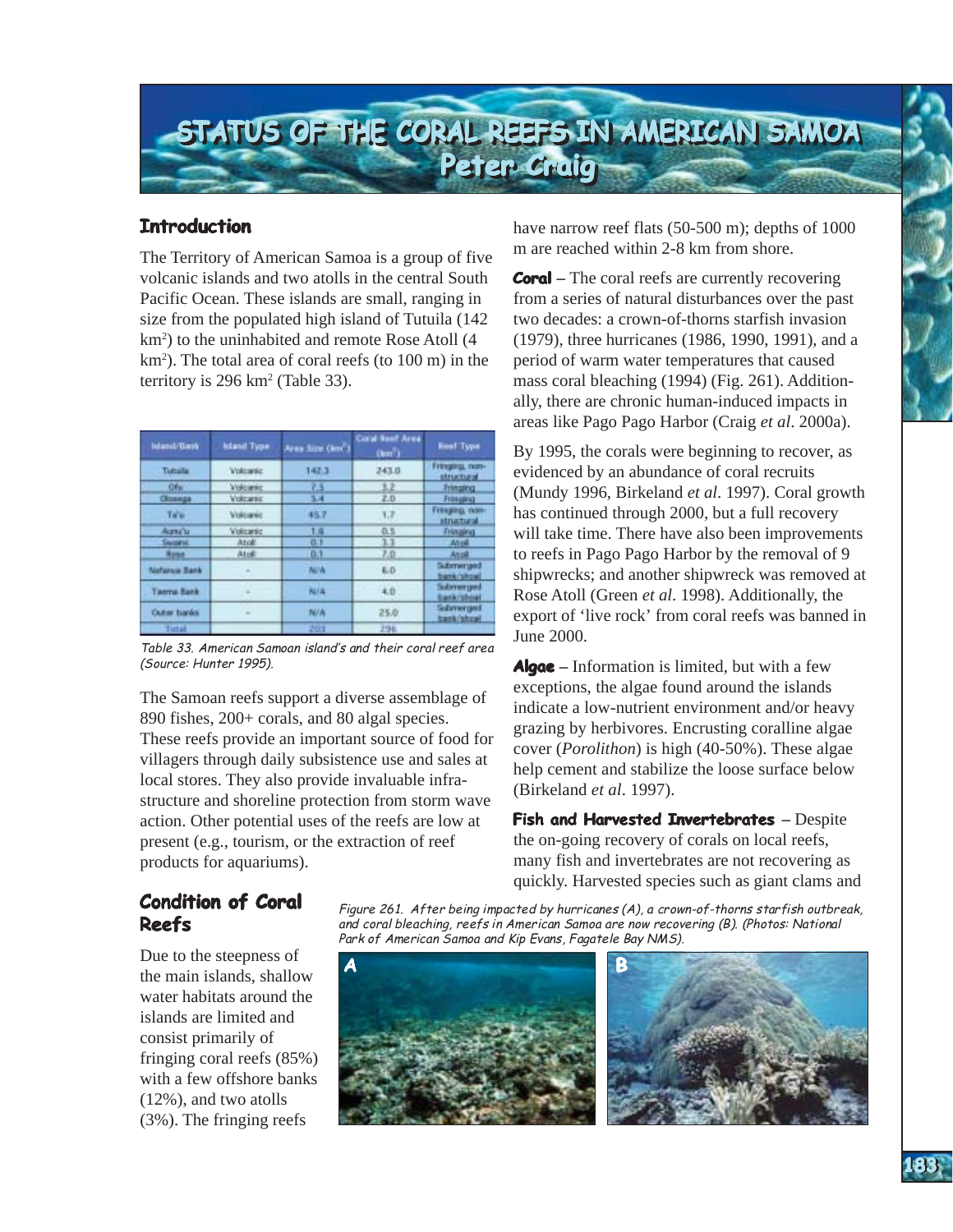

## **Introduction Introduction**

The Territory of American Samoa is a group of five volcanic islands and two atolls in the central South Pacific Ocean. These islands are small, ranging in size from the populated high island of Tutuila (142 km<sup>2</sup>) to the uninhabited and remote Rose Atoll (4 km2 ). The total area of coral reefs (to 100 m) in the territory is 296 km2 (Table 33).

| Intanct/Elask        | Island Type              | Area Size (km <sup>2</sup> ) | <b>Coral Neef Area</b><br>(km <sup>2</sup> ) | <b>Real Type</b><br>Freezings non-<br><b><i><u>Istructural</u></i></b> |  |
|----------------------|--------------------------|------------------------------|----------------------------------------------|------------------------------------------------------------------------|--|
| Tuttulla             | <b>Volumic</b>           | 147.3                        | 243.0                                        |                                                                        |  |
| Of <sub>BL</sub>     | Voluesia                 | zs                           | 3.2                                          | <b>Fringing</b>                                                        |  |
| Diaenga              | Volcanic                 | 5.4                          | Z.D.                                         | Frimating                                                              |  |
| Ta'ui                | Volcanic                 | 45.7                         | 1.7                                          | Fringing, non-<br>structural                                           |  |
| Aurea <sup>n</sup> u | Volcaric                 | 1.9                          | 0.5                                          | Fringing                                                               |  |
| <b>Student</b>       | Atoli                    | 0.1                          | 3.3                                          | Atbit                                                                  |  |
| <b>Show</b>          | Aridi                    | 0.1                          | 7.0                                          | Aholl                                                                  |  |
| <b>Nafarsia Bark</b> | $\overline{\phantom{a}}$ | <b>N/A</b>                   | 6.0                                          | Submerged<br>benk/shoe                                                 |  |
| Taerna Bank          |                          | <b>NULLE</b>                 | 4.0                                          | Suitement grout<br><b>Lank/shoat</b>                                   |  |
| Outer banks          | $\frac{1}{2}$            | <b>N/A</b>                   | 25.0                                         | Subrrerged<br>bank/shoat                                               |  |
| Tatal                |                          | 203                          | 296                                          |                                                                        |  |

Table 33. American Samoan island's and their coral reef area (Source: Hunter 1995).

The Samoan reefs support a diverse assemblage of 890 fishes, 200+ corals, and 80 algal species. These reefs provide an important source of food for villagers through daily subsistence use and sales at local stores. They also provide invaluable infrastructure and shoreline protection from storm wave action. Other potential uses of the reefs are low at present (e.g., tourism, or the extraction of reef products for aquariums).

have narrow reef flats (50-500 m); depths of 1000 m are reached within 2-8 km from shore.

**Coral** – The coral reefs are currently recovering from a series of natural disturbances over the past two decades: a crown-of-thorns starfish invasion (1979), three hurricanes (1986, 1990, 1991), and a period of warm water temperatures that caused mass coral bleaching (1994) (Fig. 261). Additionally, there are chronic human-induced impacts in areas like Pago Pago Harbor (Craig *et al*. 2000a).

By 1995, the corals were beginning to recover, as evidenced by an abundance of coral recruits (Mundy 1996, Birkeland *et al*. 1997). Coral growth has continued through 2000, but a full recovery will take time. There have also been improvements to reefs in Pago Pago Harbor by the removal of 9 shipwrecks; and another shipwreck was removed at Rose Atoll (Green *et al*. 1998). Additionally, the export of 'live rock' from coral reefs was banned in June 2000.

**Algae–** Information is limited, but with a few exceptions, the algae found around the islands indicate a low-nutrient environment and/or heavy grazing by herbivores. Encrusting coralline algae cover (*Porolithon*) is high (40-50%). These algae help cement and stabilize the loose surface below (Birkeland *et al*. 1997).

**Fish and Harvested Invertebrates** - Despite the on-going recovery of corals on local reefs, many fish and invertebrates are not recovering as quickly. Harvested species such as giant clams and

# **Condition of Coral Coral Reefs**

Due to the steepness of the main islands, shallow water habitats around the islands are limited and consist primarily of fringing coral reefs (85%) with a few offshore banks (12%), and two atolls (3%). The fringing reefs

Figure 261. After being impacted by hurricanes (A), a crown-of-thorns starfish outbreak, and coral bleaching, reefs in American Samoa are now recovering (B). (Photos: National Park of American Samoa and Kip Evans, Fagatele Bay NMS).



**AMERICAN SAMOA AMERICAN SAMOA**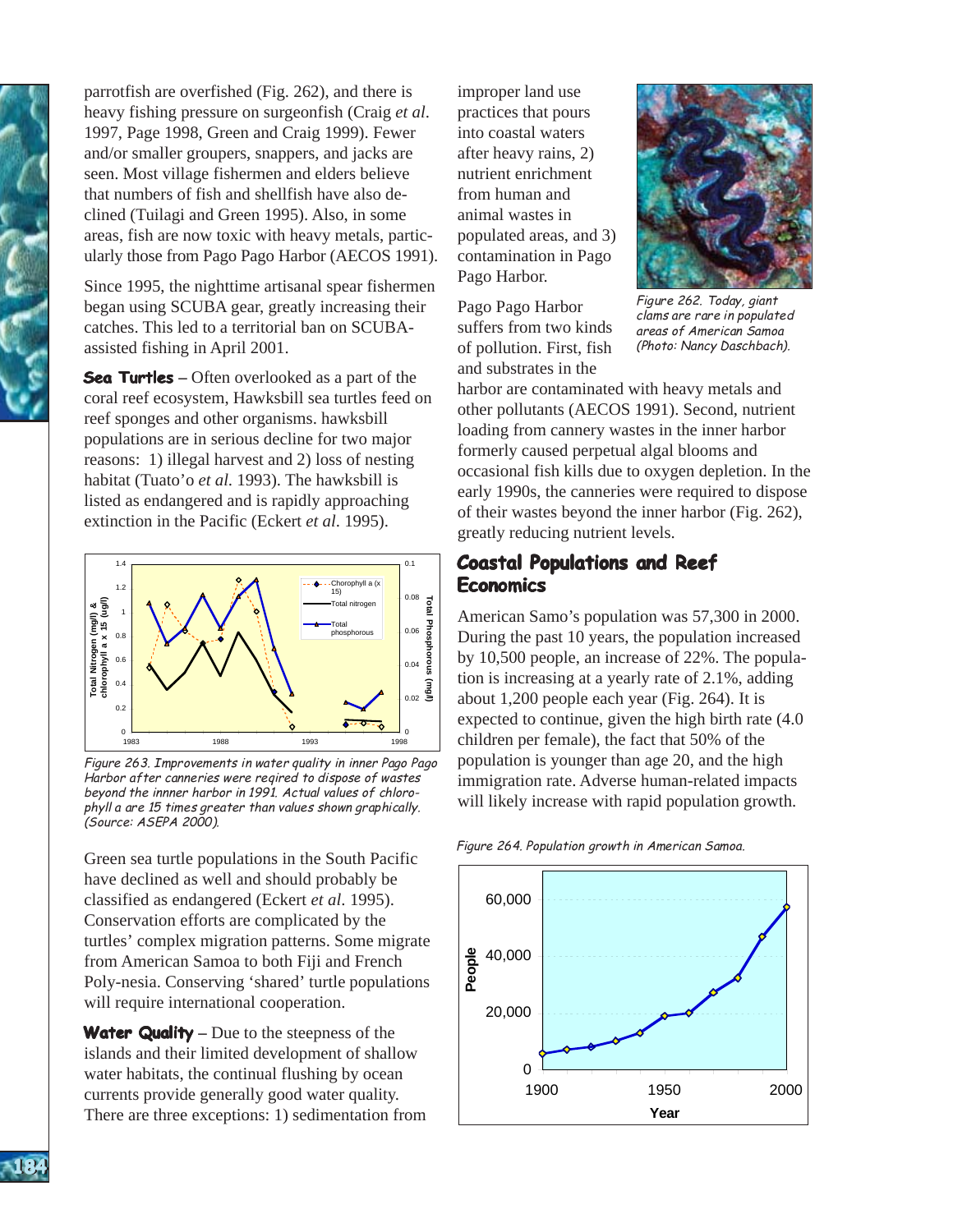parrotfish are overfished (Fig. 262), and there is heavy fishing pressure on surgeonfish (Craig *et al*. 1997, Page 1998, Green and Craig 1999). Fewer and/or smaller groupers, snappers, and jacks are seen. Most village fishermen and elders believe that numbers of fish and shellfish have also declined (Tuilagi and Green 1995). Also, in some areas, fish are now toxic with heavy metals, particularly those from Pago Pago Harbor (AECOS 1991).

Since 1995, the nighttime artisanal spear fishermen began using SCUBA gear, greatly increasing their catches. This led to a territorial ban on SCUBAassisted fishing in April 2001.

**Sea Turtles** – Often overlooked as a part of the coral reef ecosystem, Hawksbill sea turtles feed on reef sponges and other organisms. hawksbill populations are in serious decline for two major reasons: 1) illegal harvest and 2) loss of nesting habitat (Tuato'o *et al*. 1993). The hawksbill is listed as endangered and is rapidly approaching extinction in the Pacific (Eckert *et al*. 1995).



Figure 263. Improvements in water quality in inner Pago Pago Harbor after canneries were reqired to dispose of wastes beyond the innner harbor in 1991. Actual values of chlorophyll a are 15 times greater than values shown graphically. (Source: ASEPA 2000).

Green sea turtle populations in the South Pacific have declined as well and should probably be classified as endangered (Eckert *et al*. 1995). Conservation efforts are complicated by the turtles' complex migration patterns. Some migrate from American Samoa to both Fiji and French Poly-nesia. Conserving 'shared' turtle populations will require international cooperation.

**Water Quality – Due to the steepness of the** islands and their limited development of shallow water habitats, the continual flushing by ocean currents provide generally good water quality. There are three exceptions: 1) sedimentation from

improper land use practices that pours into coastal waters after heavy rains, 2) nutrient enrichment from human and animal wastes in populated areas, and 3) contamination in Pago Pago Harbor.

Pago Pago Harbor suffers from two kinds of pollution. First, fish and substrates in the



Figure 262. Today, giant clams are rare in populated areas of American Samoa (Photo: Nancy Daschbach).

harbor are contaminated with heavy metals and other pollutants (AECOS 1991). Second, nutrient loading from cannery wastes in the inner harbor formerly caused perpetual algal blooms and occasional fish kills due to oxygen depletion. In the early 1990s, the canneries were required to dispose of their wastes beyond the inner harbor (Fig. 262), greatly reducing nutrient levels.

## **Coastal Populations and Reef Economics**

American Samo's population was 57,300 in 2000. During the past 10 years, the population increased by 10,500 people, an increase of 22%. The population is increasing at a yearly rate of 2.1%, adding about 1,200 people each year (Fig. 264). It is expected to continue, given the high birth rate (4.0 children per female), the fact that 50% of the population is younger than age 20, and the high immigration rate. Adverse human-related impacts will likely increase with rapid population growth.

Figure 264. Population growth in American Samoa.





**AMERICAN SAMOA AMERICAN SAMOA**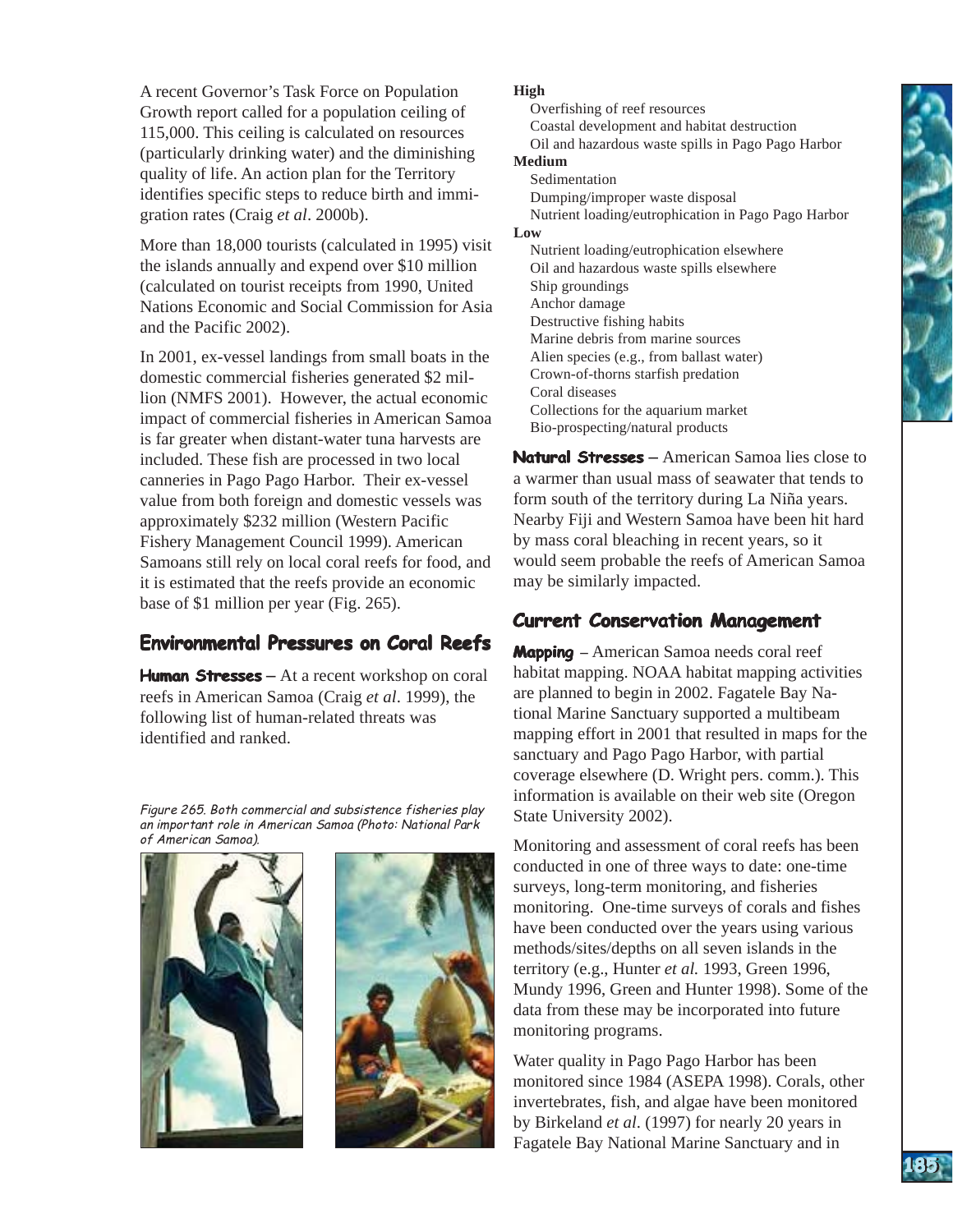A recent Governor's Task Force on Population Growth report called for a population ceiling of 115,000. This ceiling is calculated on resources (particularly drinking water) and the diminishing quality of life. An action plan for the Territory identifies specific steps to reduce birth and immigration rates (Craig *et al*. 2000b).

More than 18,000 tourists (calculated in 1995) visit the islands annually and expend over \$10 million (calculated on tourist receipts from 1990, United Nations Economic and Social Commission for Asia and the Pacific 2002).

In 2001, ex-vessel landings from small boats in the domestic commercial fisheries generated \$2 million (NMFS 2001). However, the actual economic impact of commercial fisheries in American Samoa is far greater when distant-water tuna harvests are included. These fish are processed in two local canneries in Pago Pago Harbor. Their ex-vessel value from both foreign and domestic vessels was approximately \$232 million (Western Pacific Fishery Management Council 1999). American Samoans still rely on local coral reefs for food, and it is estimated that the reefs provide an economic base of \$1 million per year (Fig. 265).

# **Environmental Pressures on Coral Reefs**

Human **Stresses** – At a recent workshop on coral reefs in American Samoa (Craig *et al*. 1999), the following list of human-related threats was identified and ranked.

Figure 265. Both commercial and subsistence fisheries play an important role in American Samoa (Photo: National Park of American Samoa).





### **High**

Overfishing of reef resources Coastal development and habitat destruction Oil and hazardous waste spills in Pago Pago Harbor **Medium** 

Sedimentation Dumping/improper waste disposal Nutrient loading/eutrophication in Pago Pago Harbor

#### **Low**

Nutrient loading/eutrophication elsewhere Oil and hazardous waste spills elsewhere Ship groundings Anchor damage Destructive fishing habits Marine debris from marine sources Alien species (e.g., from ballast water) Crown-of-thorns starfish predation Coral diseases Collections for the aquarium market Bio-prospecting/natural products

**Natural Stresses** – American Samoa lies close to a warmer than usual mass of seawater that tends to form south of the territory during La Niña years. Nearby Fiji and Western Samoa have been hit hard by mass coral bleaching in recent years, so it would seem probable the reefs of American Samoa may be similarly impacted.

## **Current Conservation Management**

**Mapping** – American Samoa needs coral reef habitat mapping. NOAA habitat mapping activities are planned to begin in 2002. Fagatele Bay National Marine Sanctuary supported a multibeam mapping effort in 2001 that resulted in maps for the sanctuary and Pago Pago Harbor, with partial coverage elsewhere (D. Wright pers. comm.). This information is available on their web site (Oregon State University 2002).

Monitoring and assessment of coral reefs has been conducted in one of three ways to date: one-time surveys, long-term monitoring, and fisheries monitoring. One-time surveys of corals and fishes have been conducted over the years using various methods/sites/depths on all seven islands in the territory (e.g., Hunter *et al.* 1993, Green 1996, Mundy 1996, Green and Hunter 1998). Some of the data from these may be incorporated into future monitoring programs.

Water quality in Pago Pago Harbor has been monitored since 1984 (ASEPA 1998). Corals, other invertebrates, fish, and algae have been monitored by Birkeland *et al*. (1997) for nearly 20 years in Fagatele Bay National Marine Sanctuary and in

**AMERICAN SAMOA AMERICAN SAMOA**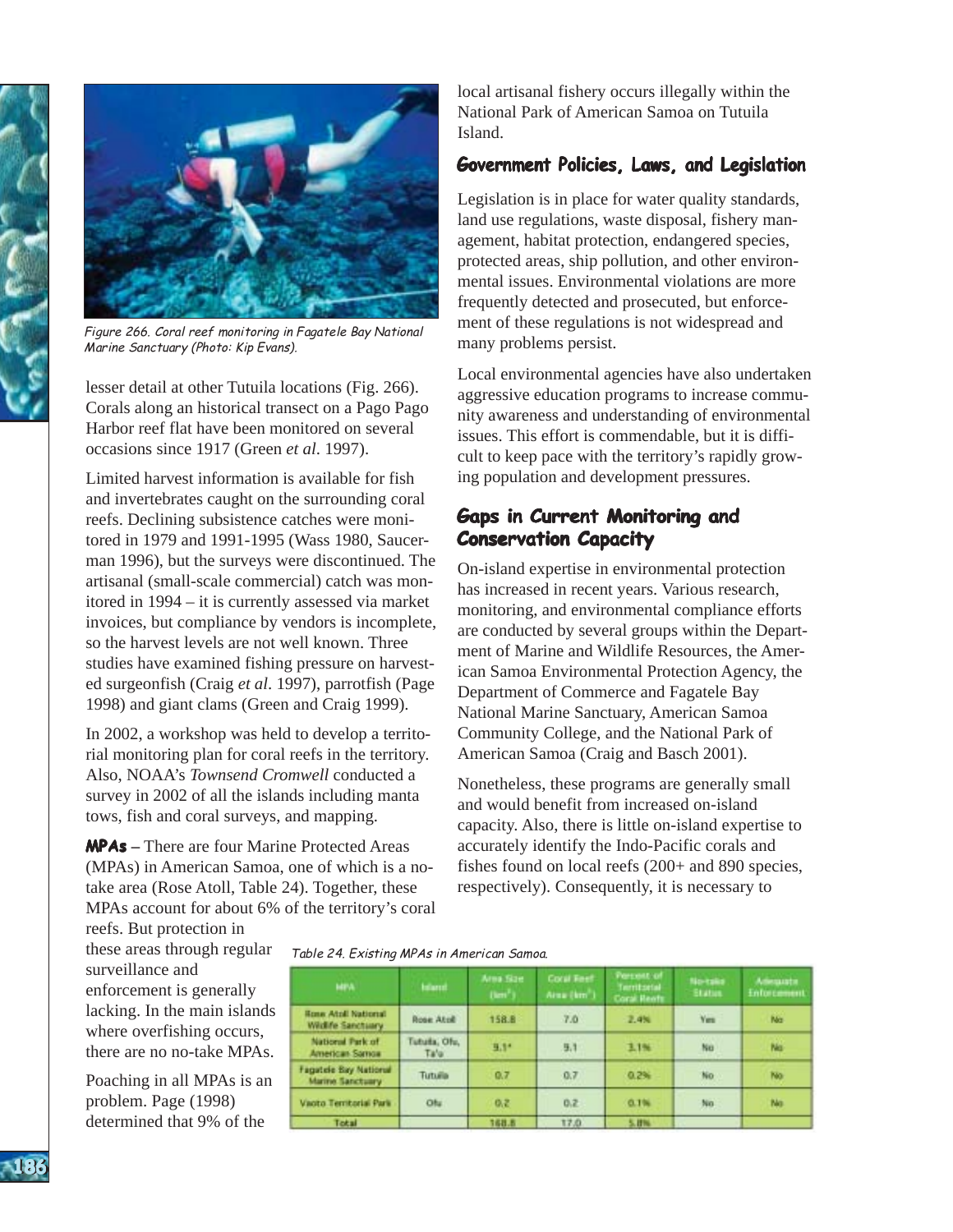



Figure 266. Coral reef monitoring in Fagatele Bay National Marine Sanctuary (Photo: Kip Evans).

lesser detail at other Tutuila locations (Fig. 266). Corals along an historical transect on a Pago Pago Harbor reef flat have been monitored on several occasions since 1917 (Green *et al*. 1997).

Limited harvest information is available for fish and invertebrates caught on the surrounding coral reefs. Declining subsistence catches were monitored in 1979 and 1991-1995 (Wass 1980, Saucerman 1996), but the surveys were discontinued. The artisanal (small-scale commercial) catch was monitored in 1994 – it is currently assessed via market invoices, but compliance by vendors is incomplete, so the harvest levels are not well known. Three studies have examined fishing pressure on harvested surgeonfish (Craig *et al*. 1997), parrotfish (Page 1998) and giant clams (Green and Craig 1999).

In 2002, a workshop was held to develop a territorial monitoring plan for coral reefs in the territory. Also, NOAA's *Townsend Cromwell* conducted a survey in 2002 of all the islands including manta tows, fish and coral surveys, and mapping.

**MPAs–** There are four Marine Protected Areas (MPAs) in American Samoa, one of which is a notake area (Rose Atoll, Table 24). Together, these MPAs account for about 6% of the territory's coral

local artisanal fishery occurs illegally within the National Park of American Samoa on Tutuila Island.

## **Government Policies, Laws, and Legislation Laws, Legislation**

Legislation is in place for water quality standards, land use regulations, waste disposal, fishery management, habitat protection, endangered species, protected areas, ship pollution, and other environmental issues. Environmental violations are more frequently detected and prosecuted, but enforcement of these regulations is not widespread and many problems persist.

Local environmental agencies have also undertaken aggressive education programs to increase community awareness and understanding of environmental issues. This effort is commendable, but it is difficult to keep pace with the territory's rapidly growing population and development pressures.

# **Gaps in Current Monitoring and Conservation Capacity**

On-island expertise in environmental protection has increased in recent years. Various research, monitoring, and environmental compliance efforts are conducted by several groups within the Department of Marine and Wildlife Resources, the American Samoa Environmental Protection Agency, the Department of Commerce and Fagatele Bay National Marine Sanctuary, American Samoa Community College, and the National Park of American Samoa (Craig and Basch 2001).

Nonetheless, these programs are generally small and would benefit from increased on-island capacity. Also, there is little on-island expertise to accurately identify the Indo-Pacific corals and fishes found on local reefs (200+ and 890 species, respectively). Consequently, it is necessary to

reefs. But protection in these areas through regular Table 24. Existing MPAs in American Samoa. surveillance and enforcement is generally lacking. In the main islands where overfishing occurs, there are no no-take MPAs.

Poaching in all MPAs is an problem. Page (1998) determined that 9% of the

| <b>MPA</b>                                       | <b>Island</b>        | Arna Size<br>(lim <sup>2</sup> ) | <b>Cocal Feet</b><br>Area (km <sup>2</sup> ) | Partiest of<br>Territorial<br><b>Coral: Hents</b> | Nortake<br><b>Station</b> | Adequate<br><b>Enforcement</b> |
|--------------------------------------------------|----------------------|----------------------------------|----------------------------------------------|---------------------------------------------------|---------------------------|--------------------------------|
| <b>Rose Atall National</b><br>Widife Sanctuary   | Rose Atoll           | 158.8                            | 7.0                                          | 2.4%                                              | <b>Yes</b>                | Na                             |
| National Park of<br>American Samoa               | Tututa, Ofu,<br>Ta'u | 9.1*                             | 5.1                                          | 1.1%                                              | No                        | No                             |
| Fagatele Bay National<br><b>Marine Sanctuary</b> | Tutulla              | 0.7                              | 0.7                                          | 0.2%                                              | No.                       | No.                            |
| Vacto Territorial Park                           | Ofu                  | 0.2                              | 0.2                                          | 0.1%                                              | No.                       | No.                            |
| Total                                            |                      | 168.6                            | 17.0                                         | 5.8%                                              |                           |                                |

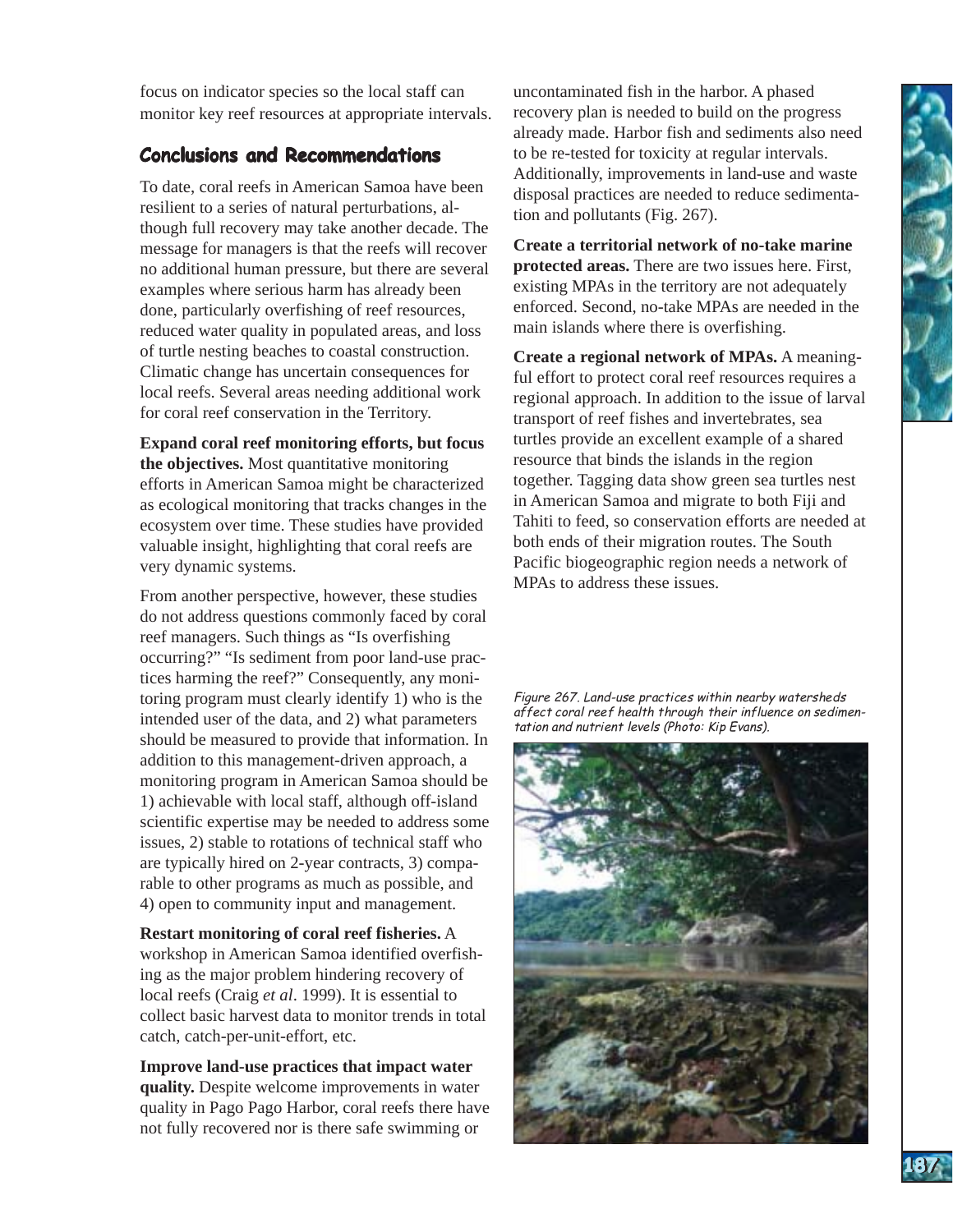focus on indicator species so the local staff can monitor key reef resources at appropriate intervals.

# **Conclusions and Recommendations**

To date, coral reefs in American Samoa have been resilient to a series of natural perturbations, although full recovery may take another decade. The message for managers is that the reefs will recover no additional human pressure, but there are several examples where serious harm has already been done, particularly overfishing of reef resources, reduced water quality in populated areas, and loss of turtle nesting beaches to coastal construction. Climatic change has uncertain consequences for local reefs. Several areas needing additional work for coral reef conservation in the Territory.

**Expand coral reef monitoring efforts, but focus the objectives.** Most quantitative monitoring efforts in American Samoa might be characterized as ecological monitoring that tracks changes in the ecosystem over time. These studies have provided valuable insight, highlighting that coral reefs are very dynamic systems.

From another perspective, however, these studies do not address questions commonly faced by coral reef managers. Such things as "Is overfishing occurring?" "Is sediment from poor land-use practices harming the reef?" Consequently, any monitoring program must clearly identify 1) who is the intended user of the data, and 2) what parameters should be measured to provide that information. In addition to this management-driven approach, a monitoring program in American Samoa should be 1) achievable with local staff, although off-island scientific expertise may be needed to address some issues, 2) stable to rotations of technical staff who are typically hired on 2-year contracts, 3) comparable to other programs as much as possible, and 4) open to community input and management.

**Restart monitoring of coral reef fisheries.** A workshop in American Samoa identified overfishing as the major problem hindering recovery of local reefs (Craig *et al*. 1999). It is essential to collect basic harvest data to monitor trends in total catch, catch-per-unit-effort, etc.

**Improve land-use practices that impact water quality.** Despite welcome improvements in water quality in Pago Pago Harbor, coral reefs there have not fully recovered nor is there safe swimming or

uncontaminated fish in the harbor. A phased recovery plan is needed to build on the progress already made. Harbor fish and sediments also need to be re-tested for toxicity at regular intervals. Additionally, improvements in land-use and waste disposal practices are needed to reduce sedimentation and pollutants (Fig. 267).

**Create a territorial network of no-take marine protected areas.** There are two issues here. First, existing MPAs in the territory are not adequately enforced. Second, no-take MPAs are needed in the main islands where there is overfishing.

**AMERICAN SAMOA AMERICAN SAMOA**

**187187**

**Create a regional network of MPAs.** A meaningful effort to protect coral reef resources requires a regional approach. In addition to the issue of larval transport of reef fishes and invertebrates, sea turtles provide an excellent example of a shared resource that binds the islands in the region together. Tagging data show green sea turtles nest in American Samoa and migrate to both Fiji and Tahiti to feed, so conservation efforts are needed at both ends of their migration routes. The South Pacific biogeographic region needs a network of MPAs to address these issues.

Figure 267. Land-use practices within nearby watersheds affect coral reef health through their influence on sedimentation and nutrient levels (Photo: Kip Evans).